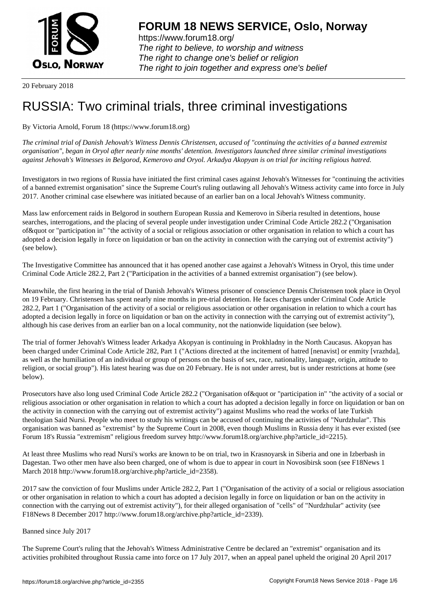

https://www.forum18.org/ The right to believe, to worship and witness The right to change one's belief or religion [The right to join together a](https://www.forum18.org/)nd express one's belief

20 February 2018

# [RUSSIA: Two c](https://www.forum18.org)riminal trials, three criminal investigations

By Victoria Arnold, Forum 18 (https://www.forum18.org)

*The criminal trial of Danish Jehovah's Witness Dennis Christensen, accused of "continuing the activities of a banned extremist organisation", began in Oryol after nearly nine months' detention. Investigators launched three similar criminal investigations against Jehovah's Witnesses in Belgorod, Kemerovo and Oryol. Arkadya Akopyan is on trial for inciting religious hatred.*

Investigators in two regions of Russia have initiated the first criminal cases against Jehovah's Witnesses for "continuing the activities of a banned extremist organisation" since the Supreme Court's ruling outlawing all Jehovah's Witness activity came into force in July 2017. Another criminal case elsewhere was initiated because of an earlier ban on a local Jehovah's Witness community.

Mass law enforcement raids in Belgorod in southern European Russia and Kemerovo in Siberia resulted in detentions, house searches, interrogations, and the placing of several people under investigation under Criminal Code Article 282.2 ("Organisation of & quot or "participation in" "the activity of a social or religious association or other organisation in relation to which a court has adopted a decision legally in force on liquidation or ban on the activity in connection with the carrying out of extremist activity") (see below).

The Investigative Committee has announced that it has opened another case against a Jehovah's Witness in Oryol, this time under Criminal Code Article 282.2, Part 2 ("Participation in the activities of a banned extremist organisation") (see below).

Meanwhile, the first hearing in the trial of Danish Jehovah's Witness prisoner of conscience Dennis Christensen took place in Oryol on 19 February. Christensen has spent nearly nine months in pre-trial detention. He faces charges under Criminal Code Article 282.2, Part 1 ("Organisation of the activity of a social or religious association or other organisation in relation to which a court has adopted a decision legally in force on liquidation or ban on the activity in connection with the carrying out of extremist activity"), although his case derives from an earlier ban on a local community, not the nationwide liquidation (see below).

The trial of former Jehovah's Witness leader Arkadya Akopyan is continuing in Prokhladny in the North Caucasus. Akopyan has been charged under Criminal Code Article 282, Part 1 ("Actions directed at the incitement of hatred [nenavist] or enmity [vrazhda], as well as the humiliation of an individual or group of persons on the basis of sex, race, nationality, language, origin, attitude to religion, or social group"). His latest hearing was due on 20 February. He is not under arrest, but is under restrictions at home (see below).

Prosecutors have also long used Criminal Code Article 282.2 ("Organisation of & quot or "participation in" "the activity of a social or religious association or other organisation in relation to which a court has adopted a decision legally in force on liquidation or ban on the activity in connection with the carrying out of extremist activity") against Muslims who read the works of late Turkish theologian Said Nursi. People who meet to study his writings can be accused of continuing the activities of "Nurdzhular". This organisation was banned as "extremist" by the Supreme Court in 2008, even though Muslims in Russia deny it has ever existed (see Forum 18's Russia "extremism" religious freedom survey http://www.forum18.org/archive.php?article\_id=2215).

At least three Muslims who read Nursi's works are known to be on trial, two in Krasnoyarsk in Siberia and one in Izberbash in Dagestan. Two other men have also been charged, one of whom is due to appear in court in Novosibirsk soon (see F18News 1 March 2018 http://www.forum18.org/archive.php?article\_id=2358).

2017 saw the conviction of four Muslims under Article 282.2, Part 1 ("Organisation of the activity of a social or religious association or other organisation in relation to which a court has adopted a decision legally in force on liquidation or ban on the activity in connection with the carrying out of extremist activity"), for their alleged organisation of "cells" of "Nurdzhular" activity (see F18News 8 December 2017 http://www.forum18.org/archive.php?article\_id=2339).

Banned since July 2017

The Supreme Court's ruling that the Jehovah's Witness Administrative Centre be declared an "extremist" organisation and its activities prohibited throughout Russia came into force on 17 July 2017, when an appeal panel upheld the original 20 April 2017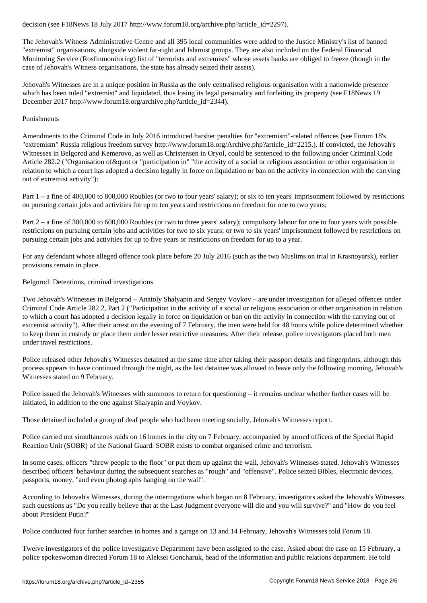The Jehovah's Witness Administrative Centre and all 395 local communities were added to the Justice Ministry's list of banned "extremist" organisations, alongside violent far-right and Islamist groups. They are also included on the Federal Financial Monitoring Service (Rosfinmonitoring) list of "terrorists and extremists" whose assets banks are obliged to freeze (though in the case of Jehovah's Witness organisations, the state has already seized their assets).

Jehovah's Witnesses are in a unique position in Russia as the only centralised religious organisation with a nationwide presence which has been ruled "extremist" and liquidated, thus losing its legal personality and forfeiting its property (see F18News 19 December 2017 http://www.forum18.org/archive.php?article\_id=2344).

### Punishments

Amendments to the Criminal Code in July 2016 introduced harsher penalties for "extremism"-related offences (see Forum 18's "extremism" Russia religious freedom survey http://www.forum18.org/Archive.php?article\_id=2215.). If convicted, the Jehovah's Witnesses in Belgorod and Kemerovo, as well as Christensen in Oryol, could be sentenced to the following under Criminal Code Article 282.2 ("Organisation of & quot or "participation in" "the activity of a social or religious association or other organisation in relation to which a court has adopted a decision legally in force on liquidation or ban on the activity in connection with the carrying out of extremist activity"):

Part 1 – a fine of 400,000 to 800,000 Roubles (or two to four years' salary); or six to ten years' imprisonment followed by restrictions on pursuing certain jobs and activities for up to ten years and restrictions on freedom for one to two years;

Part 2 – a fine of 300,000 to 600,000 Roubles (or two to three years' salary); compulsory labour for one to four years with possible restrictions on pursuing certain jobs and activities for two to six years; or two to six years' imprisonment followed by restrictions on pursuing certain jobs and activities for up to five years or restrictions on freedom for up to a year.

For any defendant whose alleged offence took place before 20 July 2016 (such as the two Muslims on trial in Krasnoyarsk), earlier provisions remain in place.

## Belgorod: Detentions, criminal investigations

Two Jehovah's Witnesses in Belgorod – Anatoly Shalyapin and Sergey Voykov – are under investigation for alleged offences under Criminal Code Article 282.2, Part 2 ("Participation in the activity of a social or religious association or other organisation in relation to which a court has adopted a decision legally in force on liquidation or ban on the activity in connection with the carrying out of extremist activity"). After their arrest on the evening of 7 February, the men were held for 48 hours while police determined whether to keep them in custody or place them under lesser restrictive measures. After their release, police investigators placed both men under travel restrictions.

Police released other Jehovah's Witnesses detained at the same time after taking their passport details and fingerprints, although this process appears to have continued through the night, as the last detainee was allowed to leave only the following morning, Jehovah's Witnesses stated on 9 February.

Police issued the Jehovah's Witnesses with summons to return for questioning – it remains unclear whether further cases will be initiated, in addition to the one against Shalyapin and Voykov.

Those detained included a group of deaf people who had been meeting socially, Jehovah's Witnesses report.

Police carried out simultaneous raids on 16 homes in the city on 7 February, accompanied by armed officers of the Special Rapid Reaction Unit (SOBR) of the National Guard. SOBR exists to combat organised crime and terrorism.

In some cases, officers "threw people to the floor" or put them up against the wall, Jehovah's Witnesses stated. Jehovah's Witnesses described officers' behaviour during the subsequent searches as "rough" and "offensive". Police seized Bibles, electronic devices, passports, money, "and even photographs hanging on the wall".

According to Jehovah's Witnesses, during the interrogations which began on 8 February, investigators asked the Jehovah's Witnesses such questions as "Do you really believe that at the Last Judgment everyone will die and you will survive?" and "How do you feel about President Putin?"

Police conducted four further searches in homes and a garage on 13 and 14 February, Jehovah's Witnesses told Forum 18.

Twelve investigators of the police Investigative Department have been assigned to the case. Asked about the case on 15 February, a police spokeswoman directed Forum 18 to Aleksei Goncharuk, head of the information and public relations department. He told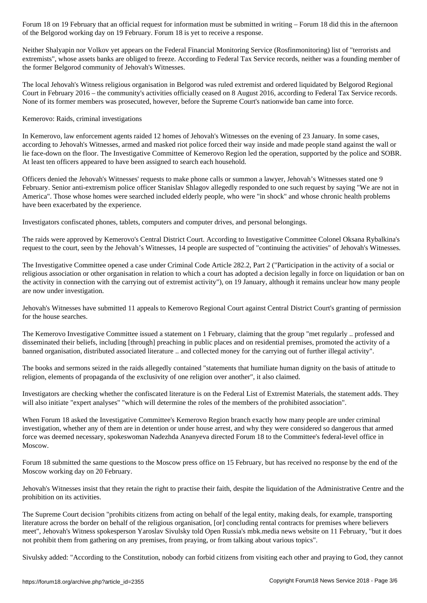of the Belgorod working day on 19 February. Forum 18 is yet to receive a response.

Neither Shalyapin nor Volkov yet appears on the Federal Financial Monitoring Service (Rosfinmonitoring) list of "terrorists and extremists", whose assets banks are obliged to freeze. According to Federal Tax Service records, neither was a founding member of the former Belgorod community of Jehovah's Witnesses.

The local Jehovah's Witness religious organisation in Belgorod was ruled extremist and ordered liquidated by Belgorod Regional Court in February 2016 – the community's activities officially ceased on 8 August 2016, according to Federal Tax Service records. None of its former members was prosecuted, however, before the Supreme Court's nationwide ban came into force.

Kemerovo: Raids, criminal investigations

In Kemerovo, law enforcement agents raided 12 homes of Jehovah's Witnesses on the evening of 23 January. In some cases, according to Jehovah's Witnesses, armed and masked riot police forced their way inside and made people stand against the wall or lie face-down on the floor. The Investigative Committee of Kemerovo Region led the operation, supported by the police and SOBR. At least ten officers appeared to have been assigned to search each household.

Officers denied the Jehovah's Witnesses' requests to make phone calls or summon a lawyer, Jehovah's Witnesses stated one 9 February. Senior anti-extremism police officer Stanislav Shlagov allegedly responded to one such request by saying "We are not in America". Those whose homes were searched included elderly people, who were "in shock" and whose chronic health problems have been exacerbated by the experience.

Investigators confiscated phones, tablets, computers and computer drives, and personal belongings.

The raids were approved by Kemerovo's Central District Court. According to Investigative Committee Colonel Oksana Rybalkina's request to the court, seen by the Jehovah's Witnesses, 14 people are suspected of "continuing the activities" of Jehovah's Witnesses.

The Investigative Committee opened a case under Criminal Code Article 282.2, Part 2 ("Participation in the activity of a social or religious association or other organisation in relation to which a court has adopted a decision legally in force on liquidation or ban on the activity in connection with the carrying out of extremist activity"), on 19 January, although it remains unclear how many people are now under investigation.

Jehovah's Witnesses have submitted 11 appeals to Kemerovo Regional Court against Central District Court's granting of permission for the house searches.

The Kemerovo Investigative Committee issued a statement on 1 February, claiming that the group "met regularly .. professed and disseminated their beliefs, including [through] preaching in public places and on residential premises, promoted the activity of a banned organisation, distributed associated literature .. and collected money for the carrying out of further illegal activity".

The books and sermons seized in the raids allegedly contained "statements that humiliate human dignity on the basis of attitude to religion, elements of propaganda of the exclusivity of one religion over another", it also claimed.

Investigators are checking whether the confiscated literature is on the Federal List of Extremist Materials, the statement adds. They will also initiate "expert analyses" "which will determine the roles of the members of the prohibited association".

When Forum 18 asked the Investigative Committee's Kemerovo Region branch exactly how many people are under criminal investigation, whether any of them are in detention or under house arrest, and why they were considered so dangerous that armed force was deemed necessary, spokeswoman Nadezhda Ananyeva directed Forum 18 to the Committee's federal-level office in Moscow.

Forum 18 submitted the same questions to the Moscow press office on 15 February, but has received no response by the end of the Moscow working day on 20 February.

Jehovah's Witnesses insist that they retain the right to practise their faith, despite the liquidation of the Administrative Centre and the prohibition on its activities.

The Supreme Court decision "prohibits citizens from acting on behalf of the legal entity, making deals, for example, transporting literature across the border on behalf of the religious organisation, [or] concluding rental contracts for premises where believers meet", Jehovah's Witness spokesperson Yaroslav Sivulsky told Open Russia's mbk.media news website on 11 February, "but it does not prohibit them from gathering on any premises, from praying, or from talking about various topics".

Sivulsky added: "According to the Constitution, nobody can forbid citizens from visiting each other and praying to God, they cannot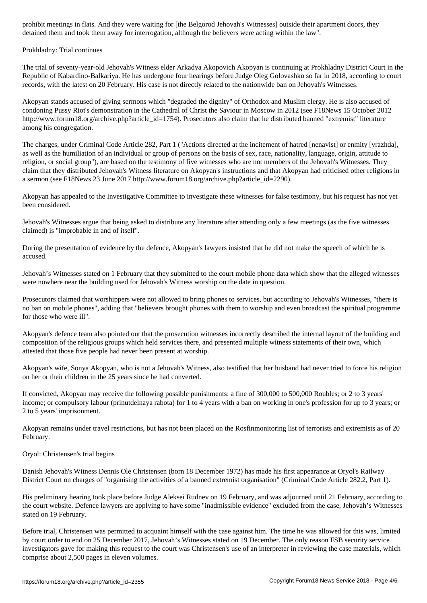#### detained them and took them away for interrogation, although the believers were acting within the law".

#### Prokhladny: Trial continues

The trial of seventy-year-old Jehovah's Witness elder Arkadya Akopovich Akopyan is continuing at Prokhladny District Court in the Republic of Kabardino-Balkariya. He has undergone four hearings before Judge Oleg Golovashko so far in 2018, according to court records, with the latest on 20 February. His case is not directly related to the nationwide ban on Jehovah's Witnesses.

Akopyan stands accused of giving sermons which "degraded the dignity" of Orthodox and Muslim clergy. He is also accused of condoning Pussy Riot's demonstration in the Cathedral of Christ the Saviour in Moscow in 2012 (see F18News 15 October 2012 http://www.forum18.org/archive.php?article\_id=1754). Prosecutors also claim that he distributed banned "extremist" literature among his congregation.

The charges, under Criminal Code Article 282, Part 1 ("Actions directed at the incitement of hatred [nenavist] or enmity [vrazhda], as well as the humiliation of an individual or group of persons on the basis of sex, race, nationality, language, origin, attitude to religion, or social group"), are based on the testimony of five witnesses who are not members of the Jehovah's Witnesses. They claim that they distributed Jehovah's Witness literature on Akopyan's instructions and that Akopyan had criticised other religions in a sermon (see F18News 23 June 2017 http://www.forum18.org/archive.php?article\_id=2290).

Akopyan has appealed to the Investigative Committee to investigate these witnesses for false testimony, but his request has not yet been considered.

Jehovah's Witnesses argue that being asked to distribute any literature after attending only a few meetings (as the five witnesses claimed) is "improbable in and of itself".

During the presentation of evidence by the defence, Akopyan's lawyers insisted that he did not make the speech of which he is accused.

Jehovah's Witnesses stated on 1 February that they submitted to the court mobile phone data which show that the alleged witnesses were nowhere near the building used for Jehovah's Witness worship on the date in question.

Prosecutors claimed that worshippers were not allowed to bring phones to services, but according to Jehovah's Witnesses, "there is no ban on mobile phones", adding that "believers brought phones with them to worship and even broadcast the spiritual programme for those who were ill".

Akopyan's defence team also pointed out that the prosecution witnesses incorrectly described the internal layout of the building and composition of the religious groups which held services there, and presented multiple witness statements of their own, which attested that those five people had never been present at worship.

Akopyan's wife, Sonya Akopyan, who is not a Jehovah's Witness, also testified that her husband had never tried to force his religion on her or their children in the 25 years since he had converted.

If convicted, Akopyan may receive the following possible punishments: a fine of 300,000 to 500,000 Roubles; or 2 to 3 years' income; or compulsory labour (prinutdelnaya rabota) for 1 to 4 years with a ban on working in one's profession for up to 3 years; or 2 to 5 years' imprisonment.

Akopyan remains under travel restrictions, but has not been placed on the Rosfinmonitoring list of terrorists and extremists as of 20 February.

Oryol: Christensen's trial begins

Danish Jehovah's Witness Dennis Ole Christensen (born 18 December 1972) has made his first appearance at Oryol's Railway District Court on charges of "organising the activities of a banned extremist organisation" (Criminal Code Article 282.2, Part 1).

His preliminary hearing took place before Judge Aleksei Rudnev on 19 February, and was adjourned until 21 February, according to the court website. Defence lawyers are applying to have some "inadmissible evidence" excluded from the case, Jehovah's Witnesses stated on 19 February.

Before trial, Christensen was permitted to acquaint himself with the case against him. The time he was allowed for this was, limited by court order to end on 25 December 2017, Jehovah's Witnesses stated on 19 December. The only reason FSB security service investigators gave for making this request to the court was Christensen's use of an interpreter in reviewing the case materials, which comprise about 2,500 pages in eleven volumes.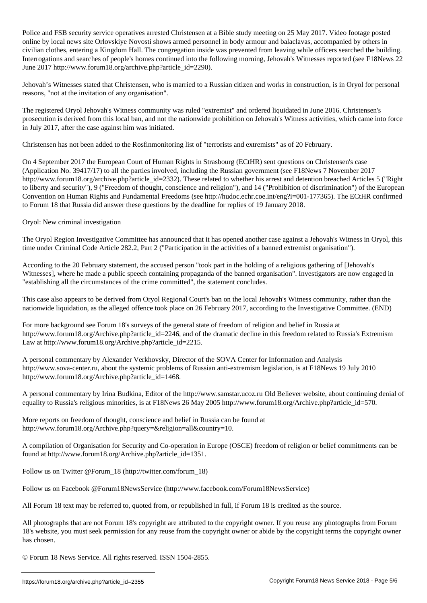Police and FSB security service operatives arrested Christensen at a Bible study meeting on 25 May 2017. Video footage posted online by local news site Orlovskiye Novosti shows armed personnel in body armour and balaclavas, accompanied by others in civilian clothes, entering a Kingdom Hall. The congregation inside was prevented from leaving while officers searched the building. Interrogations and searches of people's homes continued into the following morning, Jehovah's Witnesses reported (see F18News 22 June 2017 http://www.forum18.org/archive.php?article\_id=2290).

Jehovah's Witnesses stated that Christensen, who is married to a Russian citizen and works in construction, is in Oryol for personal reasons, "not at the invitation of any organisation".

The registered Oryol Jehovah's Witness community was ruled "extremist" and ordered liquidated in June 2016. Christensen's prosecution is derived from this local ban, and not the nationwide prohibition on Jehovah's Witness activities, which came into force in July 2017, after the case against him was initiated.

Christensen has not been added to the Rosfinmonitoring list of "terrorists and extremists" as of 20 February.

On 4 September 2017 the European Court of Human Rights in Strasbourg (ECtHR) sent questions on Christensen's case (Application No. 39417/17) to all the parties involved, including the Russian government (see F18News 7 November 2017 http://www.forum18.org/archive.php?article\_id=2332). These related to whether his arrest and detention breached Articles 5 ("Right") to liberty and security"), 9 ("Freedom of thought, conscience and religion"), and 14 ("Prohibition of discrimination") of the European Convention on Human Rights and Fundamental Freedoms (see http://hudoc.echr.coe.int/eng?i=001-177365). The ECtHR confirmed to Forum 18 that Russia did answer these questions by the deadline for replies of 19 January 2018.

Oryol: New criminal investigation

The Oryol Region Investigative Committee has announced that it has opened another case against a Jehovah's Witness in Oryol, this time under Criminal Code Article 282.2, Part 2 ("Participation in the activities of a banned extremist organisation").

According to the 20 February statement, the accused person "took part in the holding of a religious gathering of [Jehovah's Witnesses], where he made a public speech containing propaganda of the banned organisation". Investigators are now engaged in "establishing all the circumstances of the crime committed", the statement concludes.

This case also appears to be derived from Oryol Regional Court's ban on the local Jehovah's Witness community, rather than the nationwide liquidation, as the alleged offence took place on 26 February 2017, according to the Investigative Committee. (END)

For more background see Forum 18's surveys of the general state of freedom of religion and belief in Russia at http://www.forum18.org/Archive.php?article\_id=2246, and of the dramatic decline in this freedom related to Russia's Extremism Law at http://www.forum18.org/Archive.php?article\_id=2215.

A personal commentary by Alexander Verkhovsky, Director of the SOVA Center for Information and Analysis http://www.sova-center.ru, about the systemic problems of Russian anti-extremism legislation, is at F18News 19 July 2010 http://www.forum18.org/Archive.php?article\_id=1468.

A personal commentary by Irina Budkina, Editor of the http://www.samstar.ucoz.ru Old Believer website, about continuing denial of equality to Russia's religious minorities, is at F18News 26 May 2005 http://www.forum18.org/Archive.php?article\_id=570.

More reports on freedom of thought, conscience and belief in Russia can be found at http://www.forum18.org/Archive.php?query=&religion=all&country=10.

A compilation of Organisation for Security and Co-operation in Europe (OSCE) freedom of religion or belief commitments can be found at http://www.forum18.org/Archive.php?article\_id=1351.

Follow us on Twitter @Forum\_18 (http://twitter.com/forum\_18)

Follow us on Facebook @Forum18NewsService (http://www.facebook.com/Forum18NewsService)

All Forum 18 text may be referred to, quoted from, or republished in full, if Forum 18 is credited as the source.

All photographs that are not Forum 18's copyright are attributed to the copyright owner. If you reuse any photographs from Forum 18's website, you must seek permission for any reuse from the copyright owner or abide by the copyright terms the copyright owner has chosen.

© Forum 18 News Service. All rights reserved. ISSN 1504-2855.